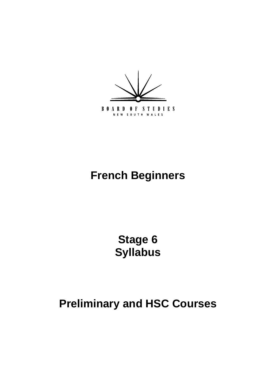

# **French Beginners**

**Stage 6 Syllabus** 

**Preliminary and HSC Courses**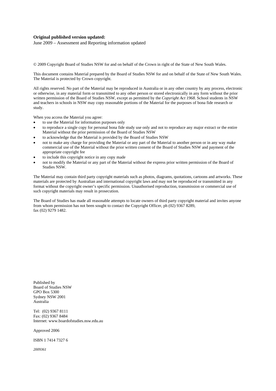#### **Original published version updated:**

June 2009 – Assessment and Reporting information updated

© 2009 Copyright Board of Studies NSW for and on behalf of the Crown in right of the State of New South Wales.

This document contains Material prepared by the Board of Studies NSW for and on behalf of the State of New South Wales. The Material is protected by Crown copyright.

All rights reserved. No part of the Material may be reproduced in Australia or in any other country by any process, electronic or otherwise, in any material form or transmitted to any other person or stored electronically in any form without the prior written permission of the Board of Studies NSW, except as permitted by the *Copyright Act 1968*. School students in NSW and teachers in schools in NSW may copy reasonable portions of the Material for the purposes of bona fide research or study.

When you access the Material you agree:

- to use the Material for information purposes only
- to reproduce a single copy for personal bona fide study use only and not to reproduce any major extract or the entire Material without the prior permission of the Board of Studies NSW
- to acknowledge that the Material is provided by the Board of Studies NSW
- not to make any charge for providing the Material or any part of the Material to another person or in any way make commercial use of the Material without the prior written consent of the Board of Studies NSW and payment of the appropriate copyright fee
- to include this copyright notice in any copy made
- not to modify the Material or any part of the Material without the express prior written permission of the Board of Studies NSW.

The Material may contain third party copyright materials such as photos, diagrams, quotations, cartoons and artworks. These materials are protected by Australian and international copyright laws and may not be reproduced or transmitted in any format without the copyright owner's specific permission. Unauthorised reproduction, transmission or commercial use of such copyright materials may result in prosecution.

The Board of Studies has made all reasonable attempts to locate owners of third party copyright material and invites anyone from whom permission has not been sought to contact the Copyright Officer, ph (02) 9367 8289, fax (02) 9279 1482.

Published by Board of Studies NSW GPO Box 5300 Sydney NSW 2001 Australia

Tel: (02) 9367 8111 Fax: (02) 9367 8484 Internet: www.boardofstudies.nsw.edu.au

Approved 2006

ISBN 1 7414 7327 6

*2009361*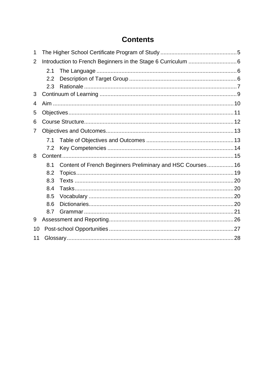# **Contents**

| 1              |     |                                                            |  |  |
|----------------|-----|------------------------------------------------------------|--|--|
| $\overline{2}$ |     |                                                            |  |  |
|                | 2.1 |                                                            |  |  |
|                | 2.2 |                                                            |  |  |
|                | 2.3 |                                                            |  |  |
| 3              |     |                                                            |  |  |
| 4              |     |                                                            |  |  |
| 5              |     |                                                            |  |  |
| 6              |     |                                                            |  |  |
| 7              |     |                                                            |  |  |
|                | 7.1 |                                                            |  |  |
|                | 7.2 |                                                            |  |  |
| 8              |     |                                                            |  |  |
|                | 8.1 | Content of French Beginners Preliminary and HSC Courses 16 |  |  |
|                | 8.2 |                                                            |  |  |
|                | 8.3 |                                                            |  |  |
|                | 8.4 |                                                            |  |  |
|                | 8.5 |                                                            |  |  |
|                | 8.6 |                                                            |  |  |
|                | 8.7 |                                                            |  |  |
| 9              |     |                                                            |  |  |
| 10             |     |                                                            |  |  |
| 11             |     |                                                            |  |  |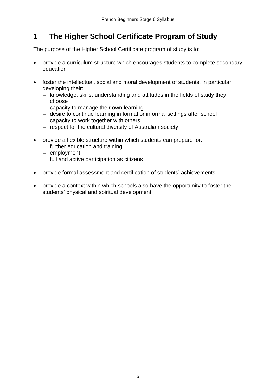# <span id="page-4-0"></span>**1 The Higher School Certificate Program of Study**

The purpose of the Higher School Certificate program of study is to:

- provide a curriculum structure which encourages students to complete secondary education
- foster the intellectual, social and moral development of students, in particular developing their:
	- knowledge, skills, understanding and attitudes in the fields of study they choose
	- capacity to manage their own learning
	- desire to continue learning in formal or informal settings after school
	- capacity to work together with others
	- respect for the cultural diversity of Australian society
- provide a flexible structure within which students can prepare for:
	- further education and training
	- employment
	- full and active participation as citizens
- provide formal assessment and certification of students' achievements
- provide a context within which schools also have the opportunity to foster the students' physical and spiritual development.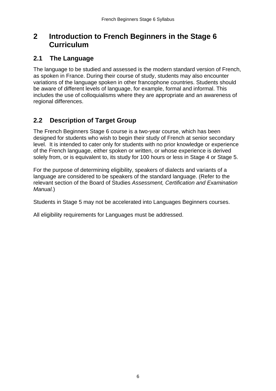# <span id="page-5-0"></span>**2 Introduction to French Beginners in the Stage 6 Curriculum**

### **2.1 The Language**

The language to be studied and assessed is the modern standard version of French, as spoken in France. During their course of study, students may also encounter variations of the language spoken in other francophone countries. Students should be aware of different levels of language, for example, formal and informal. This includes the use of colloquialisms where they are appropriate and an awareness of regional differences.

### **2.2 Description of Target Group**

The French Beginners Stage 6 course is a two-year course, which has been designed for students who wish to begin their study of French at senior secondary level. It is intended to cater only for students with no prior knowledge or experience of the French language, either spoken or written, or whose experience is derived solely from, or is equivalent to, its study for 100 hours or less in Stage 4 or Stage 5.

For the purpose of determining eligibility, speakers of dialects and variants of a language are considered to be speakers of the standard language. (Refer to the relevant section of the Board of Studies *Assessment, Certification and Examination Manual.*)

Students in Stage 5 may not be accelerated into Languages Beginners courses.

All eligibility requirements for Languages must be addressed.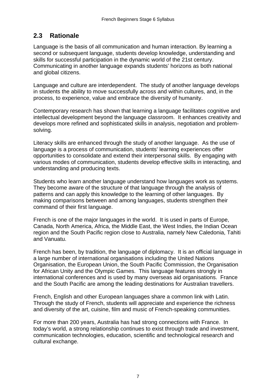### <span id="page-6-0"></span>**2.3 Rationale**

Language is the basis of all communication and human interaction. By learning a second or subsequent language, students develop knowledge, understanding and skills for successful participation in the dynamic world of the 21st century. Communicating in another language expands students' horizons as both national and global citizens.

Language and culture are interdependent. The study of another language develops in students the ability to move successfully across and within cultures, and, in the process, to experience, value and embrace the diversity of humanity.

Contemporary research has shown that learning a language facilitates cognitive and intellectual development beyond the language classroom. It enhances creativity and develops more refined and sophisticated skills in analysis, negotiation and problemsolving.

Literacy skills are enhanced through the study of another language. As the use of language is a process of communication, students' learning experiences offer opportunities to consolidate and extend their interpersonal skills. By engaging with various modes of communication, students develop effective skills in interacting, and understanding and producing texts.

Students who learn another language understand how languages work as systems. They become aware of the structure of that language through the analysis of patterns and can apply this knowledge to the learning of other languages. By making comparisons between and among languages, students strengthen their command of their first language.

French is one of the major languages in the world. It is used in parts of Europe, Canada, North America, Africa, the Middle East, the West Indies, the Indian Ocean region and the South Pacific region close to Australia, namely New Caledonia, Tahiti and Vanuatu.

French has been, by tradition, the language of diplomacy. It is an official language in a large number of international organisations including the United Nations Organisation, the European Union, the South Pacific Commission, the Organisation for African Unity and the Olympic Games. This language features strongly in international conferences and is used by many overseas aid organisations. France and the South Pacific are among the leading destinations for Australian travellers.

French, English and other European languages share a common link with Latin. Through the study of French, students will appreciate and experience the richness and diversity of the art, cuisine, film and music of French-speaking communities.

For more than 200 years, Australia has had strong connections with France. In today's world, a strong relationship continues to exist through trade and investment, communication technologies, education, scientific and technological research and cultural exchange.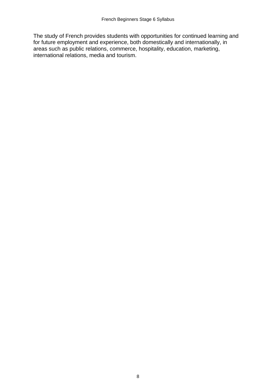The study of French provides students with opportunities for continued learning and for future employment and experience, both domestically and internationally, in areas such as public relations, commerce, hospitality, education, marketing, international relations, media and tourism.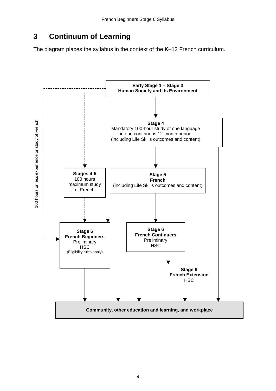# <span id="page-8-0"></span>**3 Continuum of Learning**

The diagram places the syllabus in the context of the K–12 French curriculum.

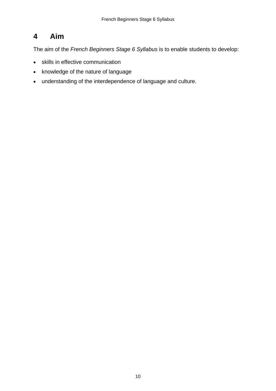# <span id="page-9-0"></span>**4 Aim**

The aim of the *French Beginners Stage 6 Syllabus* is to enable students to develop:

- skills in effective communication
- knowledge of the nature of language
- understanding of the interdependence of language and culture.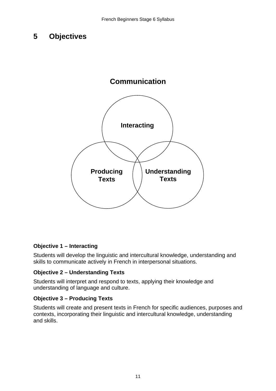# <span id="page-10-0"></span>**5 Objectives**



#### **Objective 1 – Interacting**

Students will develop the linguistic and intercultural knowledge, understanding and skills to communicate actively in French in interpersonal situations.

#### **Objective 2 – Understanding Texts**

Students will interpret and respond to texts, applying their knowledge and understanding of language and culture.

#### **Objective 3 – Producing Texts**

Students will create and present texts in French for specific audiences, purposes and contexts, incorporating their linguistic and intercultural knowledge, understanding and skills.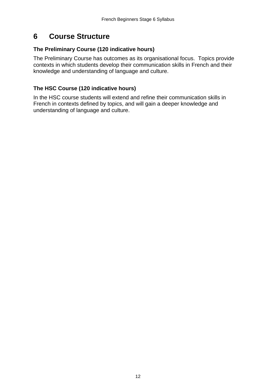# <span id="page-11-0"></span>**6 Course Structure**

#### **The Preliminary Course (120 indicative hours)**

The Preliminary Course has outcomes as its organisational focus. Topics provide contexts in which students develop their communication skills in French and their knowledge and understanding of language and culture.

#### **The HSC Course (120 indicative hours)**

In the HSC course students will extend and refine their communication skills in French in contexts defined by topics, and will gain a deeper knowledge and understanding of language and culture.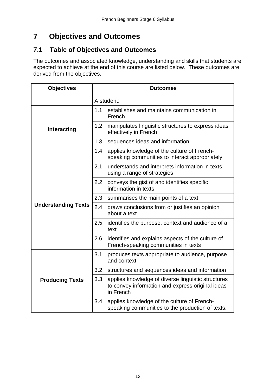# <span id="page-12-0"></span>**7 Objectives and Outcomes**

## **7.1 Table of Objectives and Outcomes**

The outcomes and associated knowledge, understanding and skills that students are expected to achieve at the end of this course are listed below. These outcomes are derived from the objectives.

| <b>Objectives</b>          | <b>Outcomes</b> |                                                                                                                     |  |  |
|----------------------------|-----------------|---------------------------------------------------------------------------------------------------------------------|--|--|
|                            | A student:      |                                                                                                                     |  |  |
|                            | 1.1             | establishes and maintains communication in<br>French                                                                |  |  |
| Interacting                | 1.2             | manipulates linguistic structures to express ideas<br>effectively in French                                         |  |  |
|                            | 1.3             | sequences ideas and information                                                                                     |  |  |
|                            | 1.4             | applies knowledge of the culture of French-<br>speaking communities to interact appropriately                       |  |  |
|                            | 2.1             | understands and interprets information in texts<br>using a range of strategies                                      |  |  |
|                            | 2.2             | conveys the gist of and identifies specific<br>information in texts                                                 |  |  |
|                            | 2.3             | summarises the main points of a text                                                                                |  |  |
| <b>Understanding Texts</b> | 2.4             | draws conclusions from or justifies an opinion<br>about a text                                                      |  |  |
|                            | 2.5             | identifies the purpose, context and audience of a<br>text                                                           |  |  |
|                            | 2.6             | identifies and explains aspects of the culture of<br>French-speaking communities in texts                           |  |  |
|                            | 3.1             | produces texts appropriate to audience, purpose<br>and context                                                      |  |  |
|                            | 3.2             | structures and sequences ideas and information                                                                      |  |  |
| <b>Producing Texts</b>     | 3.3             | applies knowledge of diverse linguistic structures<br>to convey information and express original ideas<br>in French |  |  |
|                            | 3.4             | applies knowledge of the culture of French-<br>speaking communities to the production of texts.                     |  |  |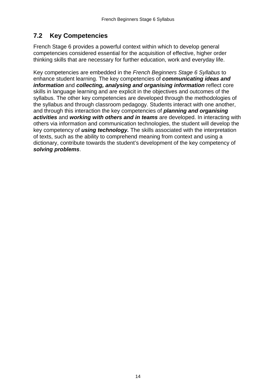# <span id="page-13-0"></span>**7.2 Key Competencies**

French Stage 6 provides a powerful context within which to develop general competencies considered essential for the acquisition of effective, higher order thinking skills that are necessary for further education, work and everyday life.

Key competencies are embedded in the *French Beginners Stage 6 Syllabus* to enhance student learning. The key competencies of *communicating ideas and information* and *collecting, analysing and organising information* reflect core skills in language learning and are explicit in the objectives and outcomes of the syllabus. The other key competencies are developed through the methodologies of the syllabus and through classroom pedagogy. Students interact with one another, and through this interaction the key competencies of *planning and organising activities* and *working with others and in teams* are developed. In interacting with others via information and communication technologies, the student will develop the key competency of *using technology.* The skills associated with the interpretation of texts, such as the ability to comprehend meaning from context and using a dictionary, contribute towards the student's development of the key competency of *solving problems*.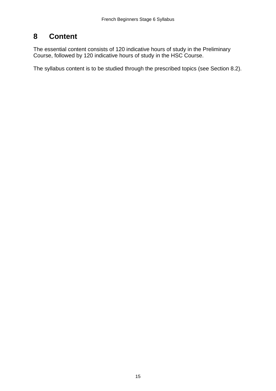# <span id="page-14-0"></span>**8 Content**

The essential content consists of 120 indicative hours of study in the Preliminary Course, followed by 120 indicative hours of study in the HSC Course.

The syllabus content is to be studied through the prescribed topics (see Section 8.2).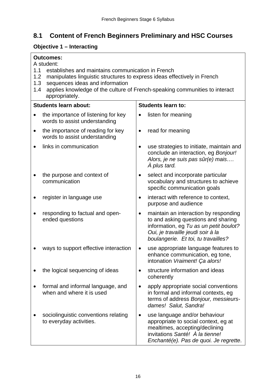# <span id="page-15-0"></span>**8.1 Content of French Beginners Preliminary and HSC Courses**

# **Objective 1 – Interacting**

| 1.1 | <b>Outcomes:</b><br>A student:<br>establishes and maintains communication in French                                                                                                                                               |                           |                                                                                                                                                                                                    |  |
|-----|-----------------------------------------------------------------------------------------------------------------------------------------------------------------------------------------------------------------------------------|---------------------------|----------------------------------------------------------------------------------------------------------------------------------------------------------------------------------------------------|--|
|     | 1.2<br>manipulates linguistic structures to express ideas effectively in French<br>1.3<br>sequences ideas and information<br>applies knowledge of the culture of French-speaking communities to interact<br>1.4<br>appropriately. |                           |                                                                                                                                                                                                    |  |
|     | <b>Students learn about:</b>                                                                                                                                                                                                      | <b>Students learn to:</b> |                                                                                                                                                                                                    |  |
|     | the importance of listening for key<br>words to assist understanding                                                                                                                                                              |                           | listen for meaning                                                                                                                                                                                 |  |
|     | the importance of reading for key<br>words to assist understanding                                                                                                                                                                |                           | read for meaning                                                                                                                                                                                   |  |
|     | links in communication                                                                                                                                                                                                            |                           | use strategies to initiate, maintain and<br>conclude an interaction, eg Bonjour!<br>Alors, je ne suis pas sûr(e) mais<br>À plus tard.                                                              |  |
|     | the purpose and context of<br>communication                                                                                                                                                                                       | $\bullet$                 | select and incorporate particular<br>vocabulary and structures to achieve<br>specific communication goals                                                                                          |  |
|     | register in language use                                                                                                                                                                                                          | $\bullet$                 | interact with reference to context,<br>purpose and audience                                                                                                                                        |  |
|     | responding to factual and open-<br>ended questions                                                                                                                                                                                | $\bullet$                 | maintain an interaction by responding<br>to and asking questions and sharing<br>information, eg Tu as un petit boulot?<br>Oui, je travaille jeudi soir à la<br>boulangerie. Et toi, tu travailles? |  |
|     | ways to support effective interaction                                                                                                                                                                                             | ٠                         | use appropriate language features to<br>enhance communication, eg tone,<br>intonation Vraiment! Ça alors!                                                                                          |  |
|     | the logical sequencing of ideas                                                                                                                                                                                                   |                           | structure information and ideas<br>coherently                                                                                                                                                      |  |
|     | formal and informal language, and<br>when and where it is used                                                                                                                                                                    |                           | apply appropriate social conventions<br>in formal and informal contexts, eg<br>terms of address Bonjour, messieurs-<br>dames! Salut, Sandra!                                                       |  |
|     | sociolinguistic conventions relating<br>to everyday activities.                                                                                                                                                                   |                           | use language and/or behaviour<br>appropriate to social context, eg at<br>mealtimes, accepting/declining<br>invitations Santé! À la tienne!<br>Enchanté(e). Pas de quoi. Je regrette.               |  |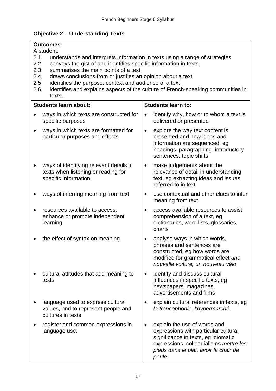### **Objective 2 – Understanding Texts**

|           | <b>Outcomes:</b><br>A student:                                                                                                                                                                                                                                                                                                                                                                                                                           |                                                                                                                                                                                                          |  |  |  |
|-----------|----------------------------------------------------------------------------------------------------------------------------------------------------------------------------------------------------------------------------------------------------------------------------------------------------------------------------------------------------------------------------------------------------------------------------------------------------------|----------------------------------------------------------------------------------------------------------------------------------------------------------------------------------------------------------|--|--|--|
|           | 2.1<br>understands and interprets information in texts using a range of strategies<br>2.2<br>conveys the gist of and identifies specific information in texts<br>2.3<br>summarises the main points of a text<br>draws conclusions from or justifies an opinion about a text<br>2.4<br>2.5<br>identifies the purpose, context and audience of a text<br>identifies and explains aspects of the culture of French-speaking communities in<br>2.6<br>texts. |                                                                                                                                                                                                          |  |  |  |
|           | <b>Students learn about:</b>                                                                                                                                                                                                                                                                                                                                                                                                                             | <b>Students learn to:</b>                                                                                                                                                                                |  |  |  |
| $\bullet$ | ways in which texts are constructed for<br>specific purposes                                                                                                                                                                                                                                                                                                                                                                                             | identify why, how or to whom a text is<br>$\bullet$<br>delivered or presented                                                                                                                            |  |  |  |
| $\bullet$ | ways in which texts are formatted for<br>particular purposes and effects                                                                                                                                                                                                                                                                                                                                                                                 | explore the way text content is<br>$\bullet$<br>presented and how ideas and<br>information are sequenced, eg<br>headings, paragraphing, introductory<br>sentences, topic shifts                          |  |  |  |
|           | ways of identifying relevant details in<br>texts when listening or reading for<br>specific information                                                                                                                                                                                                                                                                                                                                                   | make judgements about the<br>$\bullet$<br>relevance of detail in understanding<br>text, eg extracting ideas and issues<br>referred to in text                                                            |  |  |  |
|           | ways of inferring meaning from text                                                                                                                                                                                                                                                                                                                                                                                                                      | use contextual and other clues to infer<br>$\bullet$<br>meaning from text                                                                                                                                |  |  |  |
| $\bullet$ | resources available to access,<br>enhance or promote independent<br>learning                                                                                                                                                                                                                                                                                                                                                                             | access available resources to assist<br>$\bullet$<br>comprehension of a text, eg<br>dictionaries, word lists, glossaries,<br>charts                                                                      |  |  |  |
|           | the effect of syntax on meaning                                                                                                                                                                                                                                                                                                                                                                                                                          | analyse ways in which words,<br>$\bullet$<br>phrases and sentences are<br>constructed, eg how words are<br>modified for grammatical effect une<br>nouvelle voiture, un nouveau vélo                      |  |  |  |
|           | cultural attitudes that add meaning to<br>texts                                                                                                                                                                                                                                                                                                                                                                                                          | identify and discuss cultural<br>influences in specific texts, eg<br>newspapers, magazines,<br>advertisements and films                                                                                  |  |  |  |
|           | language used to express cultural<br>values, and to represent people and<br>cultures in texts                                                                                                                                                                                                                                                                                                                                                            | explain cultural references in texts, eg<br>la francophonie, l'hypermarché                                                                                                                               |  |  |  |
|           | register and common expressions in<br>language use.                                                                                                                                                                                                                                                                                                                                                                                                      | explain the use of words and<br>expressions with particular cultural<br>significance in texts, eg idiomatic<br>expressions, colloquialisms mettre les<br>pieds dans le plat, avoir la chair de<br>poule. |  |  |  |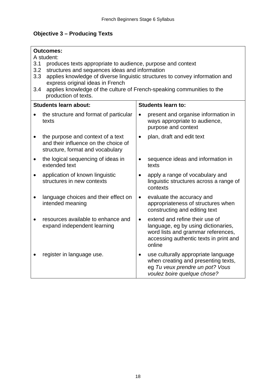## **Objective 3 – Producing Texts**

| <b>Outcomes:</b><br>A student:<br>3.1<br>produces texts appropriate to audience, purpose and context<br>structures and sequences ideas and information<br>3.2<br>applies knowledge of diverse linguistic structures to convey information and<br>3.3<br>express original ideas in French<br>applies knowledge of the culture of French-speaking communities to the<br>3.4<br>production of texts. |                                                                                                               |           |                                                                                                                                                                 |
|---------------------------------------------------------------------------------------------------------------------------------------------------------------------------------------------------------------------------------------------------------------------------------------------------------------------------------------------------------------------------------------------------|---------------------------------------------------------------------------------------------------------------|-----------|-----------------------------------------------------------------------------------------------------------------------------------------------------------------|
|                                                                                                                                                                                                                                                                                                                                                                                                   | <b>Students learn about:</b>                                                                                  |           | <b>Students learn to:</b>                                                                                                                                       |
|                                                                                                                                                                                                                                                                                                                                                                                                   | the structure and format of particular<br>texts                                                               | $\bullet$ | present and organise information in<br>ways appropriate to audience,<br>purpose and context                                                                     |
| $\bullet$                                                                                                                                                                                                                                                                                                                                                                                         | the purpose and context of a text<br>and their influence on the choice of<br>structure, format and vocabulary | $\bullet$ | plan, draft and edit text                                                                                                                                       |
| $\bullet$                                                                                                                                                                                                                                                                                                                                                                                         | the logical sequencing of ideas in<br>extended text                                                           | $\bullet$ | sequence ideas and information in<br>texts                                                                                                                      |
|                                                                                                                                                                                                                                                                                                                                                                                                   | application of known linguistic<br>structures in new contexts                                                 |           | apply a range of vocabulary and<br>linguistic structures across a range of<br>contexts                                                                          |
|                                                                                                                                                                                                                                                                                                                                                                                                   | language choices and their effect on<br>intended meaning                                                      | $\bullet$ | evaluate the accuracy and<br>appropriateness of structures when<br>constructing and editing text                                                                |
|                                                                                                                                                                                                                                                                                                                                                                                                   | resources available to enhance and<br>expand independent learning                                             | $\bullet$ | extend and refine their use of<br>language, eg by using dictionaries,<br>word lists and grammar references,<br>accessing authentic texts in print and<br>online |
|                                                                                                                                                                                                                                                                                                                                                                                                   | register in language use.                                                                                     |           | use culturally appropriate language<br>when creating and presenting texts,<br>eg Tu veux prendre un pot? Vous<br>voulez boire quelque chose?                    |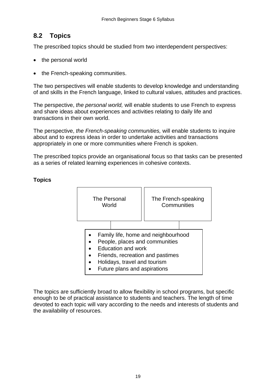### <span id="page-18-0"></span>**8.2 Topics**

The prescribed topics should be studied from two interdependent perspectives:

- the personal world
- the French-speaking communities.

The two perspectives will enable students to develop knowledge and understanding of and skills in the French language, linked to cultural values, attitudes and practices.

The perspective, *the personal world,* will enable students to use French to express and share ideas about experiences and activities relating to daily life and transactions in their own world.

The perspective, *the French-speaking communities,* will enable students to inquire about and to express ideas in order to undertake activities and transactions appropriately in one or more communities where French is spoken.

The prescribed topics provide an organisational focus so that tasks can be presented as a series of related learning experiences in cohesive contexts.



#### **Topics**

The topics are sufficiently broad to allow flexibility in school programs, but specific enough to be of practical assistance to students and teachers. The length of time devoted to each topic will vary according to the needs and interests of students and the availability of resources.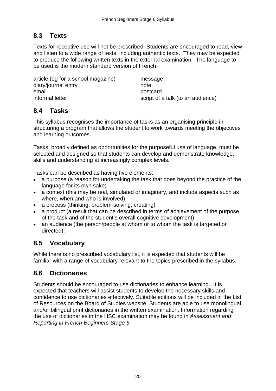### <span id="page-19-0"></span>**8.3 Texts**

Texts for receptive use will not be prescribed. Students are encouraged to read, view and listen to a wide range of texts, including authentic texts. They may be expected to produce the following written texts in the external examination. The language to be used is the modern standard version of French.

article (eg for a school magazine) message diary/journal entry and the mote email **provided provided provided provided provided provided provided provided provided provided provided provided provided provided provided provided provided provided provided provid** informal letter script of a talk (to an audience)

### **8.4 Tasks**

This syllabus recognises the importance of tasks as an organising principle in structuring a program that allows the student to work towards meeting the objectives and learning outcomes.

Tasks, broadly defined as opportunities for the purposeful use of language, must be selected and designed so that students can develop and demonstrate knowledge, skills and understanding at increasingly complex levels.

Tasks can be described as having five elements:

- a purpose (a reason for undertaking the task that goes beyond the practice of the language for its own sake)
- a context (this may be real, simulated or imaginary, and include aspects such as where, when and who is involved)
- a process (thinking, problem-solving, creating)
- a product (a result that can be described in terms of achievement of the purpose of the task and of the student's overall cognitive development)
- an audience (the person/people at whom or to whom the task is targeted or directed).

### **8.5 Vocabulary**

While there is no prescribed vocabulary list, it is expected that students will be familiar with a range of vocabulary relevant to the topics prescribed in the syllabus.

### **8.6 Dictionaries**

Students should be encouraged to use dictionaries to enhance learning. It is expected that teachers will assist students to develop the necessary skills and confidence to use dictionaries effectively. Suitable editions will be included in the List of Resources on the Board of Studies website. Students are able to use monolingual and/or bilingual print dictionaries in the written examination. Information regarding the use of dictionaries in the HSC examination may be found in *Assessment and Reporting in French Beginners Stage 6.*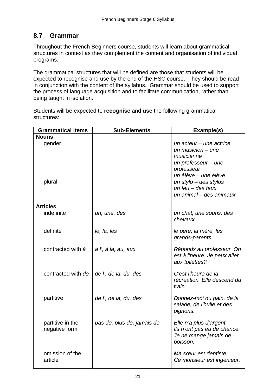### <span id="page-20-0"></span>**8.7 Grammar**

Throughout the French Beginners course, students will learn about grammatical structures in context as they complement the content and organisation of individual programs.

The grammatical structures that will be defined are those that students will be expected to recognise and use by the end of the HSC course. They should be read in conjunction with the content of the syllabus. Grammar should be used to support the process of language acquisition and to facilitate communication, rather than being taught in isolation.

Students will be expected to **recognise** and **use** the following grammatical structures:

| <b>Grammatical Items</b> | <b>Sub-Elements</b>        | Example(s)                                           |
|--------------------------|----------------------------|------------------------------------------------------|
| <b>Nouns</b>             |                            |                                                      |
| gender                   |                            | un acteur - une actrice                              |
|                          |                            | un musicien $-$ une                                  |
|                          |                            | musicienne                                           |
|                          |                            | un professeur $-$ une                                |
|                          |                            | professeur                                           |
|                          |                            | un élève - une élève                                 |
| plural                   |                            | un stylo $-$ des stylos                              |
|                          |                            | un feu $-$ des feux                                  |
|                          |                            | un animal – des animaux                              |
| <b>Articles</b>          |                            |                                                      |
| indefinite               | un, une, des               | un chat, une souris, des                             |
|                          |                            | chevaux                                              |
| definite                 | le, la, les                | le père, la mère, les                                |
|                          |                            | grands-parents                                       |
|                          |                            |                                                      |
| contracted with à        | à l', à la, au, aux        | Réponds au professeur. On                            |
|                          |                            | est à l'heure. Je peux aller                         |
|                          |                            | aux toilettes?                                       |
| contracted with de       | de l', de la, du, des      | C'est l'heure de la                                  |
|                          |                            | récréation. Elle descend du                          |
|                          |                            | train.                                               |
| partitive                | de l', de la, du, des      | Donnez-moi du pain, de la                            |
|                          |                            | salade, de l'huile et des                            |
|                          |                            | oignons.                                             |
|                          |                            |                                                      |
| partitive in the         | pas de, plus de, jamais de | Elle n'a plus d'argent.                              |
| negative form            |                            | Ils n'ont pas eu de chance.<br>Je ne mange jamais de |
|                          |                            | poisson.                                             |
|                          |                            |                                                      |
| omission of the          |                            | Ma sœur est dentiste.                                |
| article                  |                            | Ce monsieur est ingénieur.                           |
|                          |                            |                                                      |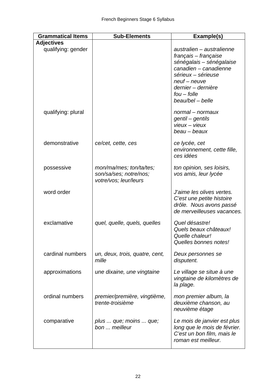| <b>Grammatical Items</b> | <b>Sub-Elements</b>                                                        | Example(s)                                                                                                                                                                                                |
|--------------------------|----------------------------------------------------------------------------|-----------------------------------------------------------------------------------------------------------------------------------------------------------------------------------------------------------|
| <b>Adjectives</b>        |                                                                            |                                                                                                                                                                                                           |
| qualifying: gender       |                                                                            | australien - australienne<br>français – française<br>sénégalais - sénégalaise<br>canadien - canadienne<br>sérieux - sérieuse<br>$neuf - neuve$<br>dernier – dernière<br>$fou - folle$<br>beau/bel - belle |
| qualifying: plural       |                                                                            | normal - normaux<br>gentil – gentils<br>$view - view$<br>beau - beaux                                                                                                                                     |
| demonstrative            | ce/cet, cette, ces                                                         | ce lycée, cet<br>environnement, cette fille,<br>ces idées                                                                                                                                                 |
| possessive               | mon/ma/mes; ton/ta/tes;<br>son/sa/ses; notre/nos;<br>votre/vos; leur/leurs | ton opinion, ses loisirs,<br>vos amis, leur lycée                                                                                                                                                         |
| word order               |                                                                            | J'aime les olives vertes.<br>C'est une petite histoire<br>drôle. Nous avons passé<br>de merveilleuses vacances.                                                                                           |
| exclamative              | quel, quelle, quels, quelles                                               | Quel désastre!<br>Quels beaux châteaux!<br>Quelle chaleur!<br>Quelles bonnes notes!                                                                                                                       |
| cardinal numbers         | un, deux, trois, quatre, cent,<br>mille                                    | Deux personnes se<br>disputent.                                                                                                                                                                           |
| approximations           | une dixaine, une vingtaine                                                 | Le village se situe à une<br>vingtaine de kilomètres de<br>la plage.                                                                                                                                      |
| ordinal numbers          | premier/première, vingtième,<br>trente-troisième                           | mon premier album, la<br>deuxième chanson, au<br>neuvième étage                                                                                                                                           |
| comparative              | plus  que; moins  que;<br>bon  meilleur                                    | Le mois de janvier est plus<br>long que le mois de février.<br>C'est un bon film, mais le<br>roman est meilleur.                                                                                          |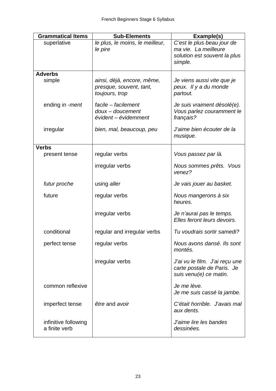| <b>Grammatical Items</b> | <b>Sub-Elements</b>                                   | Example(s)                                          |
|--------------------------|-------------------------------------------------------|-----------------------------------------------------|
| superlative              | le plus, le moins, le meilleur,                       | C'est le plus beau jour de                          |
|                          | le pire                                               | ma vie. La meilleure                                |
|                          |                                                       | solution est souvent la plus<br>simple.             |
|                          |                                                       |                                                     |
| <b>Adverbs</b>           |                                                       |                                                     |
| simple                   | ainsi, déjà, encore, même,<br>presque, souvent, tant, | Je viens aussi vite que je<br>peux. Il y a du monde |
|                          | toujours, trop                                        | partout.                                            |
|                          |                                                       |                                                     |
| ending in -ment          | facile - facilement                                   | Je suis vraiment désolé(e).                         |
|                          | $d$ oux – doucement<br>évident – évidemment           | Vous parlez couramment le                           |
|                          |                                                       | français?                                           |
| irregular                | bien, mal, beaucoup, peu                              | J'aime bien écouter de la                           |
|                          |                                                       | musique.                                            |
| <b>Verbs</b>             |                                                       |                                                     |
| present tense            | regular verbs                                         | Vous passez par là.                                 |
|                          |                                                       |                                                     |
|                          | irregular verbs                                       | Nous sommes prêts. Vous<br>venez?                   |
|                          |                                                       |                                                     |
| futur proche             | using aller                                           | Je vais jouer au basket.                            |
| future                   | regular verbs                                         | Nous mangerons à six                                |
|                          |                                                       | heures.                                             |
|                          | irregular verbs                                       | Je n'aurai pas le temps.                            |
|                          |                                                       | Elles feront leurs devoirs.                         |
| conditional              | regular and irregular verbs                           | Tu voudrais sortir samedi?                          |
|                          |                                                       |                                                     |
| perfect tense            | regular verbs                                         | Nous avons dansé. Ils sont                          |
|                          |                                                       | montés.                                             |
|                          | irregular verbs                                       | J'ai vu le film. J'ai reçu une                      |
|                          |                                                       | carte postale de Paris. Je                          |
|                          |                                                       | suis venu(e) ce matin.                              |
| common reflexive         |                                                       | Je me lève.                                         |
|                          |                                                       | Je me suis cassé la jambe.                          |
|                          |                                                       |                                                     |
| imperfect tense          | être and avoir                                        | C'était horrible. J'avais mal<br>aux dents.         |
|                          |                                                       |                                                     |
| infinitive following     |                                                       | J'aime lire les bandes                              |
| a finite verb            |                                                       | dessinées.                                          |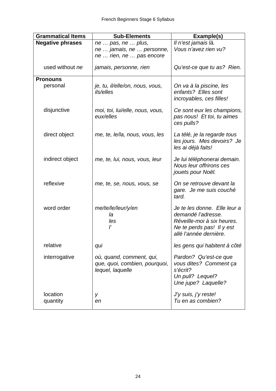| <b>Grammatical Items</b> | <b>Sub-Elements</b>                                                           | Example(s)                                                                                                                              |
|--------------------------|-------------------------------------------------------------------------------|-----------------------------------------------------------------------------------------------------------------------------------------|
| <b>Negative phrases</b>  | ne  pas, ne  plus,                                                            | Il n'est jamais là.                                                                                                                     |
|                          | ne  jamais, ne  personne,<br>ne  rien, ne  pas encore                         | Vous n'avez rien vu?                                                                                                                    |
| used without ne          | jamais, personne, rien                                                        | Qu'est-ce que tu as? Rien.                                                                                                              |
| <b>Pronouns</b>          |                                                                               |                                                                                                                                         |
| personal                 | je, tu, il/elle/on, nous, vous,<br>ils/elles                                  | On va à la piscine, les<br>enfants? Elles sont<br>incroyables, ces filles!                                                              |
| disjunctive              | moi, toi, lui/elle, nous, vous,<br>eux/elles                                  | Ce sont eux les champions,<br>pas nous! Et toi, tu aimes<br>ces pulls?                                                                  |
| direct object            | me, te, le/la, nous, vous, les                                                | La télé, je la regarde tous<br>les jours. Mes devoirs? Je<br>les ai déjà faits!                                                         |
| indirect object          | me, te, lui, nous, vous, leur                                                 | Je lui téléphonerai demain.<br>Nous leur offrirons ces<br>jouets pour Noël.                                                             |
| reflexive                | me, te, se, nous, vous, se                                                    | On se retrouve devant la<br>gare. Je me suis couché<br>tard.                                                                            |
| word order               | me/te/le/leur/y/en<br>la<br>les<br>ľ                                          | Je te les donne. Elle leur a<br>demandé l'adresse.<br>Réveille-moi à six heures.<br>Ne te perds pas! Il y est<br>allé l'année dernière. |
| relative                 | qui                                                                           | les gens qui habitent à côté                                                                                                            |
| interrogative            | où, quand, comment, qui,<br>que, quoi, combien, pourquoi,<br>lequel, laquelle | Pardon? Qu'est-ce que<br>vous dites? Comment ça<br>s'écrit?<br>Un pull? Lequel?<br>Une jupe? Laquelle?                                  |
| location<br>quantity     | y<br>en                                                                       | J'y suis, j'y reste!<br>Tu en as combien?                                                                                               |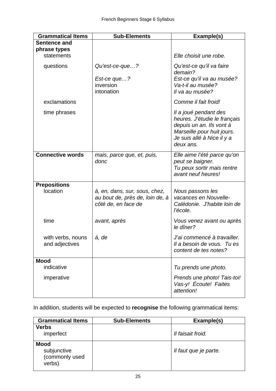| <b>Grammatical Items</b>            | <b>Sub-Elements</b>                                                                     | Example(s)                                                                                                                                                 |
|-------------------------------------|-----------------------------------------------------------------------------------------|------------------------------------------------------------------------------------------------------------------------------------------------------------|
| Sentence and                        |                                                                                         |                                                                                                                                                            |
| phrase types                        |                                                                                         |                                                                                                                                                            |
| statements                          |                                                                                         | Elle choisit une robe.                                                                                                                                     |
| questions                           | Qu'est-ce-que?<br>Est-ce que?<br>inversion<br>intonation                                | Qu'est-ce qu'il va faire<br>demain?<br>Est-ce qu'il va au musée?<br>Va-t-il au musée?<br>Il va au musée?                                                   |
| exclamations                        |                                                                                         | Comme il fait froid!                                                                                                                                       |
| time phrases                        |                                                                                         | Il a joué pendant des<br>heures. J'étudie le français<br>depuis un an. Ils vont à<br>Marseille pour huit jours.<br>Je suis allé à Nice il y a<br>deux ans. |
| <b>Connective words</b>             | mais, parce que, et, puis,<br>donc                                                      | Elle aime l'été parce qu'on<br>peut se baigner.<br>Tu peux sortir mais rentre<br>avant neuf heures!                                                        |
| <b>Prepositions</b>                 |                                                                                         |                                                                                                                                                            |
| location                            | à, en, dans, sur, sous, chez,<br>au bout de, près de, loin de, à<br>côté de, en face de | Nous passons les<br>vacances en Nouvelle-<br>Calédonie. J'habite loin de<br>l'école.                                                                       |
| time                                | avant, après                                                                            | Vous venez avant ou après<br>le dîner?                                                                                                                     |
| with verbs, nouns<br>and adjectives | à, de                                                                                   | J'ai commencé à travailler.<br>Il a besoin de vous. Tu es<br>content de tes notes?                                                                         |
| <b>Mood</b>                         |                                                                                         |                                                                                                                                                            |
| indicative                          |                                                                                         | Tu prends une photo.                                                                                                                                       |
| imperative                          |                                                                                         | Prends une photo! Tais-toi!<br>Vas-y! Écoute! Faites<br>attention!                                                                                         |

In addition, students will be expected to **recognise** the following grammatical items:

| <b>Grammatical Items</b>                               | <b>Sub-Elements</b> | Example(s)            |
|--------------------------------------------------------|---------------------|-----------------------|
| <b>Verbs</b><br>imperfect                              |                     | Il faisait froid.     |
| <b>Mood</b><br>subjunctive<br>(commonly used<br>verbs) |                     | Il faut que je parte. |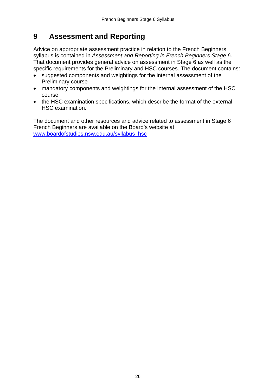# <span id="page-25-0"></span>**9 Assessment and Reporting**

Advice on appropriate assessment practice in relation to the French Beginners syllabus is contained in *Assessment and Reporting in French Beginners Stage 6*. That document provides general advice on assessment in Stage 6 as well as the specific requirements for the Preliminary and HSC courses. The document contains:

- suggested components and weightings for the internal assessment of the Preliminary course
- mandatory components and weightings for the internal assessment of the HSC course
- the HSC examination specifications, which describe the format of the external HSC examination.

The document and other resources and advice related to assessment in Stage 6 French Beginners are available on the Board's website at [www.boardofstudies.nsw.edu.au/syllabus\\_hsc](http://www.boardofstudies.nsw.edu.au/syllabus_hsc)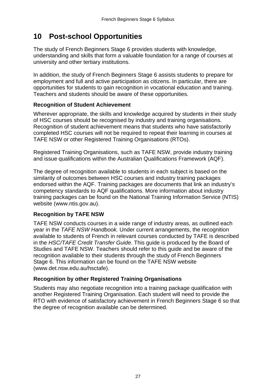# <span id="page-26-0"></span>**10 Post-school Opportunities**

The study of French Beginners Stage 6 provides students with knowledge, understanding and skills that form a valuable foundation for a range of courses at university and other tertiary institutions.

In addition, the study of French Beginners Stage 6 assists students to prepare for employment and full and active participation as citizens. In particular, there are opportunities for students to gain recognition in vocational education and training. Teachers and students should be aware of these opportunities.

#### **Recognition of Student Achievement**

Wherever appropriate, the skills and knowledge acquired by students in their study of HSC courses should be recognised by industry and training organisations. Recognition of student achievement means that students who have satisfactorily completed HSC courses will not be required to repeat their learning in courses at TAFE NSW or other Registered Training Organisations (RTOs).

Registered Training Organisations, such as TAFE NSW, provide industry training and issue qualifications within the Australian Qualifications Framework (AQF).

The degree of recognition available to students in each subject is based on the similarity of outcomes between HSC courses and industry training packages endorsed within the AQF. Training packages are documents that link an industry's competency standards to AQF qualifications. More information about industry training packages can be found on the National Training Information Service (NTIS) website (www.ntis.gov.au).

#### **Recognition by TAFE NSW**

TAFE NSW conducts courses in a wide range of industry areas, as outlined each year in the *TAFE NSW Handbook.* Under current arrangements, the recognition available to students of French in relevant courses conducted by TAFE is described in the *HSC/TAFE Credit Transfer Guide*. This guide is produced by the Board of Studies and TAFE NSW. Teachers should refer to this guide and be aware of the recognition available to their students through the study of French Beginners Stage 6. This information can be found on the TAFE NSW website [\(www.det.nsw.edu.au/hsctafe\)](http://www.det.nsw.edu.au/hsctafe).

#### **Recognition by other Registered Training Organisations**

Students may also negotiate recognition into a training package qualification with another Registered Training Organisation. Each student will need to provide the RTO with evidence of satisfactory achievement in French Beginners Stage 6 so that the degree of recognition available can be determined.